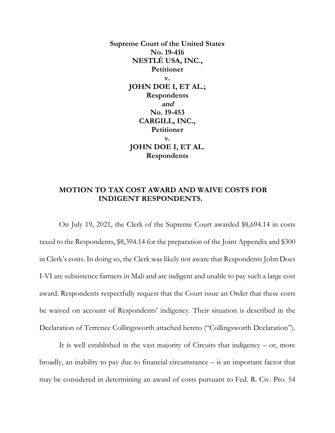**Supreme Court of the United States No. 19-416 NESTLÉ USA, INC., Petitioner v. JOHN DOE I, ET AL.; Respondents and No. 19-453 CARGILL, INC., Petitioner v. JOHN DOE I, ET AL. Respondents** 

## **MOTION TO TAX COST AWARD AND WAIVE COSTS FOR INDIGENT RESPONDENTS.**

On July 19, 2021, the Clerk of the Supreme Court awarded \$8,694.14 in costs taxed to the Respondents, \$8,394.14 for the preparation of the Joint Appendix and \$300 in Clerk's costs. In doing so, the Clerk was likely not aware that Respondents John Does I-VI are subsistence farmers in Mali and are indigent and unable to pay such a large cost award. Respondents respectfully request that the Court issue an Order that these costs be waived on account of Respondents' indigency. Their situation is described in the Declaration of Terrence Collingsworth attached hereto ("Collingsworth Declaration").

It is well established in the vast majority of Circuits that indigency – or, more broadly, an inability to pay due to financial circumstance – is an important factor that may be considered in determining an award of costs pursuant to Fed. R. Civ. Pro. 54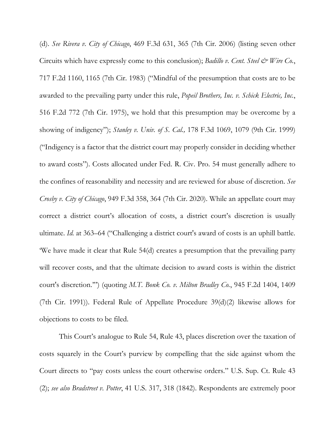(d). *See Rivera v. City of Chicago*, 469 F.3d 631, 365 (7th Cir. 2006) (listing seven other Circuits which have expressly come to this conclusion); *Badillo v. Cent. Steel & Wire Co.*, 717 F.2d 1160, 1165 (7th Cir. 1983) ("Mindful of the presumption that costs are to be awarded to the prevailing party under this rule, *Popeil Brothers, Inc. v. Schick Electric, Inc.*, 516 F.2d 772 (7th Cir. 1975), we hold that this presumption may be overcome by a showing of indigency"); *Stanley v. Univ. of S. Cal.,* 178 F.3d 1069, 1079 (9th Cir. 1999) ("Indigency is a factor that the district court may properly consider in deciding whether to award costs"). Costs allocated under Fed. R. Civ. Pro. 54 must generally adhere to the confines of reasonability and necessity and are reviewed for abuse of discretion. *See Crosby v. City of Chicago*, 949 F.3d 358, 364 (7th Cir. 2020). While an appellate court may correct a district court's allocation of costs, a district court's discretion is usually ultimate. *Id.* at 363–64 ("Challenging a district court's award of costs is an uphill battle. 'We have made it clear that Rule 54(d) creates a presumption that the prevailing party will recover costs, and that the ultimate decision to award costs is within the district court's discretion.'") (quoting *M.T. Bonk Co. v. Milton Bradley Co.*, 945 F.2d 1404, 1409 (7th Cir. 1991)). Federal Rule of Appellate Procedure 39(d)(2) likewise allows for objections to costs to be filed.

This Court's analogue to Rule 54, Rule 43, places discretion over the taxation of costs squarely in the Court's purview by compelling that the side against whom the Court directs to "pay costs unless the court otherwise orders." U.S. Sup. Ct. Rule 43 (2); *see also Bradstreet v. Potter*, 41 U.S. 317, 318 (1842). Respondents are extremely poor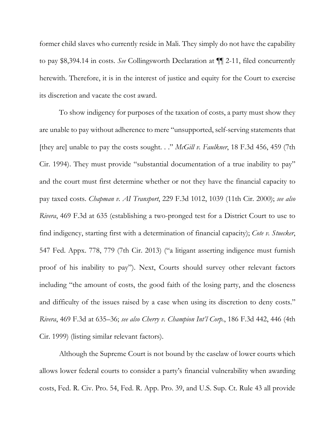former child slaves who currently reside in Mali. They simply do not have the capability to pay \$8,394.14 in costs. *See* Collingsworth Declaration at ¶¶ 2-11, filed concurrently herewith. Therefore, it is in the interest of justice and equity for the Court to exercise its discretion and vacate the cost award.

To show indigency for purposes of the taxation of costs, a party must show they are unable to pay without adherence to mere "unsupported, self-serving statements that [they are] unable to pay the costs sought. . ." *McGill v. Faulkner*, 18 F.3d 456, 459 (7th Cir. 1994). They must provide "substantial documentation of a true inability to pay" and the court must first determine whether or not they have the financial capacity to pay taxed costs. *Chapman v. AI Transport*, 229 F.3d 1012, 1039 (11th Cir. 2000); *see also Rivera*, 469 F.3d at 635 (establishing a two-pronged test for a District Court to use to find indigency, starting first with a determination of financial capacity); *Cote v. Stuecker*, 547 Fed. Appx. 778, 779 (7th Cir. 2013) ("a litigant asserting indigence must furnish proof of his inability to pay"). Next, Courts should survey other relevant factors including "the amount of costs, the good faith of the losing party, and the closeness and difficulty of the issues raised by a case when using its discretion to deny costs." *Rivera*, 469 F.3d at 635–36; *see also Cherry v. Champion Int'l Corp.*, 186 F.3d 442, 446 (4th Cir. 1999) (listing similar relevant factors).

Although the Supreme Court is not bound by the caselaw of lower courts which allows lower federal courts to consider a party's financial vulnerability when awarding costs, Fed. R. Civ. Pro. 54, Fed. R. App. Pro. 39, and U.S. Sup. Ct. Rule 43 all provide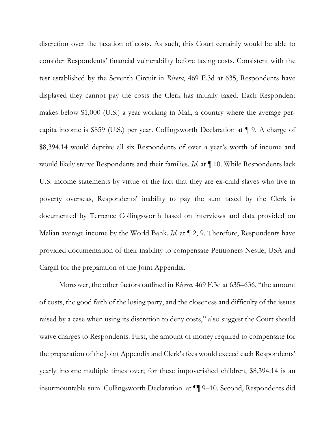discretion over the taxation of costs. As such, this Court certainly would be able to consider Respondents' financial vulnerability before taxing costs. Consistent with the test established by the Seventh Circuit in *Rivera*, 469 F.3d at 635, Respondents have displayed they cannot pay the costs the Clerk has initially taxed. Each Respondent makes below \$1,000 (U.S.) a year working in Mali, a country where the average percapita income is \$859 (U.S.) per year. Collingsworth Declaration at ¶ 9. A charge of \$8,394.14 would deprive all six Respondents of over a year's worth of income and would likely starve Respondents and their families. *Id.* at ¶ 10. While Respondents lack U.S. income statements by virtue of the fact that they are ex-child slaves who live in poverty overseas, Respondents' inability to pay the sum taxed by the Clerk is documented by Terrence Collingsworth based on interviews and data provided on Malian average income by the World Bank. *Id.* at  $\P$  2, 9. Therefore, Respondents have provided documentation of their inability to compensate Petitioners Nestle, USA and Cargill for the preparation of the Joint Appendix.

Moreover, the other factors outlined in *Rivera*, 469 F.3d at 635–636, "the amount of costs, the good faith of the losing party, and the closeness and difficulty of the issues raised by a case when using its discretion to deny costs," also suggest the Court should waive charges to Respondents. First, the amount of money required to compensate for the preparation of the Joint Appendix and Clerk's fees would exceed each Respondents' yearly income multiple times over; for these impoverished children, \$8,394.14 is an insurmountable sum. Collingsworth Declaration at ¶¶ 9–10. Second, Respondents did